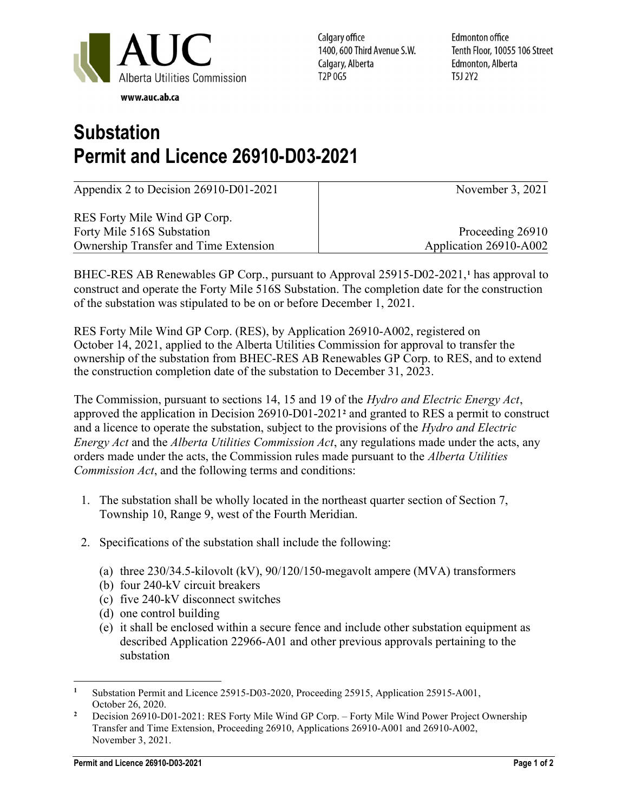

Calgary office 1400, 600 Third Avenue S.W. Calgary, Alberta T<sub>2</sub>P 0G<sub>5</sub>

Edmonton office Tenth Floor, 10055 106 Street Edmonton, Alberta T5J 2Y2

## Substation Permit and Licence 26910-D03-2021

Appendix 2 to Decision 26910-D01-2021

RES Forty Mile Wind GP Corp. Forty Mile 516S Substation Ownership Transfer and Time Extension November 3, 2021

Proceeding 26910 Application 26910-A002

BHEC-RES AB Renewables GP Corp., pursuant to Approval 25915-D02-2021,<sup>1</sup> has approval to construct and operate the Forty Mile 516S Substation. The completion date for the construction of the substation was stipulated to be on or before December 1, 2021.

RES Forty Mile Wind GP Corp. (RES), by Application 26910-A002, registered on October 14, 2021, applied to the Alberta Utilities Commission for approval to transfer the ownership of the substation from BHEC-RES AB Renewables GP Corp. to RES, and to extend the construction completion date of the substation to December 31, 2023.

The Commission, pursuant to sections 14, 15 and 19 of the Hydro and Electric Energy Act, approved the application in Decision 26910-D01-2021<sup>2</sup> and granted to RES a permit to construct and a licence to operate the substation, subject to the provisions of the Hydro and Electric Energy Act and the Alberta Utilities Commission Act, any regulations made under the acts, any orders made under the acts, the Commission rules made pursuant to the Alberta Utilities Commission Act, and the following terms and conditions:

- 1. The substation shall be wholly located in the northeast quarter section of Section 7, Township 10, Range 9, west of the Fourth Meridian.
- 2. Specifications of the substation shall include the following:
	- (a) three 230/34.5-kilovolt (kV), 90/120/150-megavolt ampere (MVA) transformers
	- (b) four 240-kV circuit breakers
	- (c) five 240-kV disconnect switches
	- (d) one control building
	- (e) it shall be enclosed within a secure fence and include other substation equipment as described Application 22966-A01 and other previous approvals pertaining to the substation

<sup>1</sup> Substation Permit and Licence 25915-D03-2020, Proceeding 25915, Application 25915-A001, October 26, 2020.

<sup>2</sup> Decision 26910-D01-2021: RES Forty Mile Wind GP Corp. – Forty Mile Wind Power Project Ownership Transfer and Time Extension, Proceeding 26910, Applications 26910-A001 and 26910-A002, November 3, 2021.